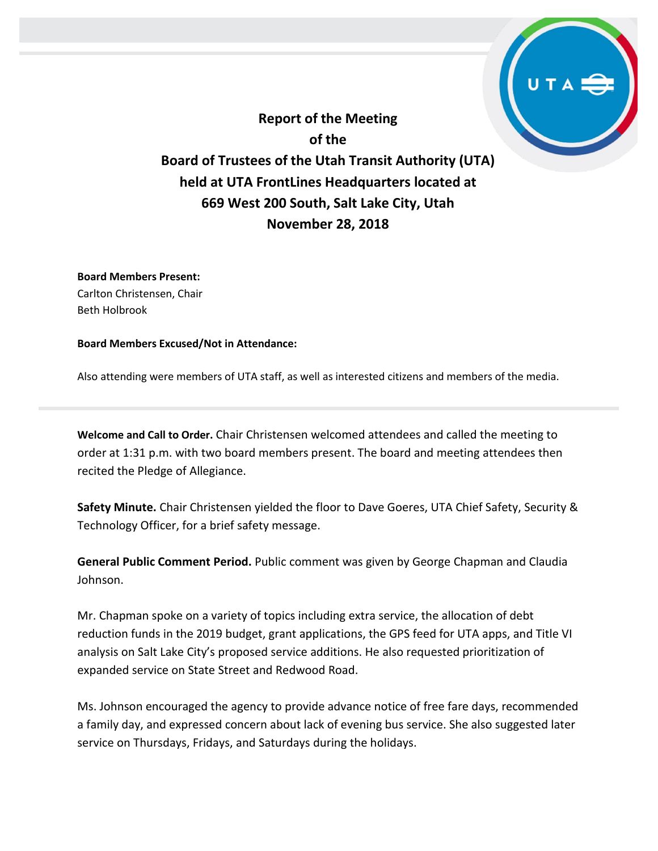**Report of the Meeting of the Board of Trustees of the Utah Transit Authority (UTA) held at UTA FrontLines Headquarters located at 669 West 200 South, Salt Lake City, Utah November 28, 2018**

**Board Members Present:** Carlton Christensen, Chair Beth Holbrook

**Board Members Excused/Not in Attendance:** 

Also attending were members of UTA staff, as well as interested citizens and members of the media.

**Welcome and Call to Order.** Chair Christensen welcomed attendees and called the meeting to order at 1:31 p.m. with two board members present. The board and meeting attendees then recited the Pledge of Allegiance.

**Safety Minute.** Chair Christensen yielded the floor to Dave Goeres, UTA Chief Safety, Security & Technology Officer, for a brief safety message.

**General Public Comment Period.** Public comment was given by George Chapman and Claudia Johnson.

Mr. Chapman spoke on a variety of topics including extra service, the allocation of debt reduction funds in the 2019 budget, grant applications, the GPS feed for UTA apps, and Title VI analysis on Salt Lake City's proposed service additions. He also requested prioritization of expanded service on State Street and Redwood Road.

Ms. Johnson encouraged the agency to provide advance notice of free fare days, recommended a family day, and expressed concern about lack of evening bus service. She also suggested later service on Thursdays, Fridays, and Saturdays during the holidays.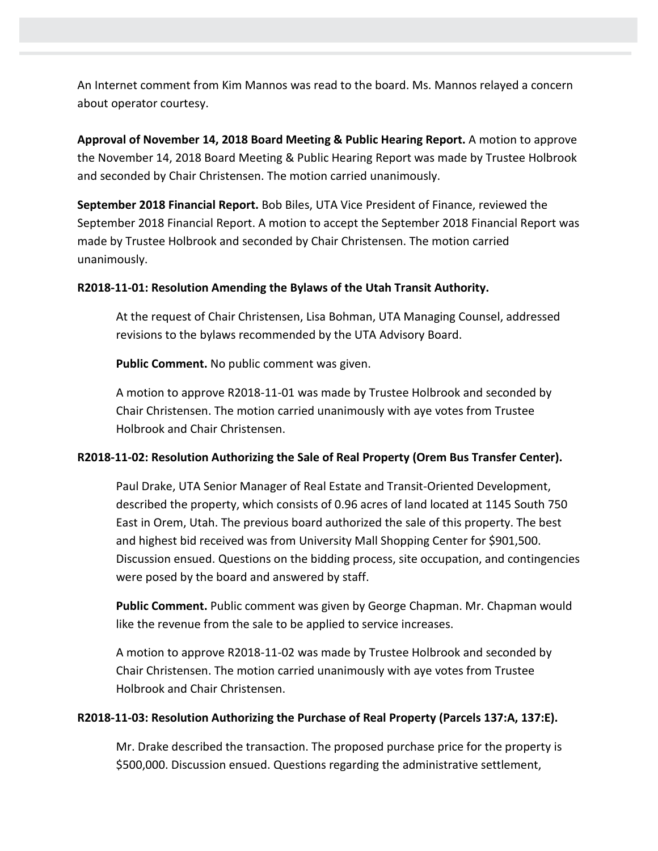An Internet comment from Kim Mannos was read to the board. Ms. Mannos relayed a concern about operator courtesy.

**Approval of November 14, 2018 Board Meeting & Public Hearing Report.** A motion to approve the November 14, 2018 Board Meeting & Public Hearing Report was made by Trustee Holbrook and seconded by Chair Christensen. The motion carried unanimously.

**September 2018 Financial Report.** Bob Biles, UTA Vice President of Finance, reviewed the September 2018 Financial Report. A motion to accept the September 2018 Financial Report was made by Trustee Holbrook and seconded by Chair Christensen. The motion carried unanimously.

#### **R2018-11-01: Resolution Amending the Bylaws of the Utah Transit Authority.**

At the request of Chair Christensen, Lisa Bohman, UTA Managing Counsel, addressed revisions to the bylaws recommended by the UTA Advisory Board.

**Public Comment.** No public comment was given.

A motion to approve R2018-11-01 was made by Trustee Holbrook and seconded by Chair Christensen. The motion carried unanimously with aye votes from Trustee Holbrook and Chair Christensen.

### **R2018-11-02: Resolution Authorizing the Sale of Real Property (Orem Bus Transfer Center).**

Paul Drake, UTA Senior Manager of Real Estate and Transit-Oriented Development, described the property, which consists of 0.96 acres of land located at 1145 South 750 East in Orem, Utah. The previous board authorized the sale of this property. The best and highest bid received was from University Mall Shopping Center for \$901,500. Discussion ensued. Questions on the bidding process, site occupation, and contingencies were posed by the board and answered by staff.

**Public Comment.** Public comment was given by George Chapman. Mr. Chapman would like the revenue from the sale to be applied to service increases.

A motion to approve R2018-11-02 was made by Trustee Holbrook and seconded by Chair Christensen. The motion carried unanimously with aye votes from Trustee Holbrook and Chair Christensen.

#### **R2018-11-03: Resolution Authorizing the Purchase of Real Property (Parcels 137:A, 137:E).**

Mr. Drake described the transaction. The proposed purchase price for the property is \$500,000. Discussion ensued. Questions regarding the administrative settlement,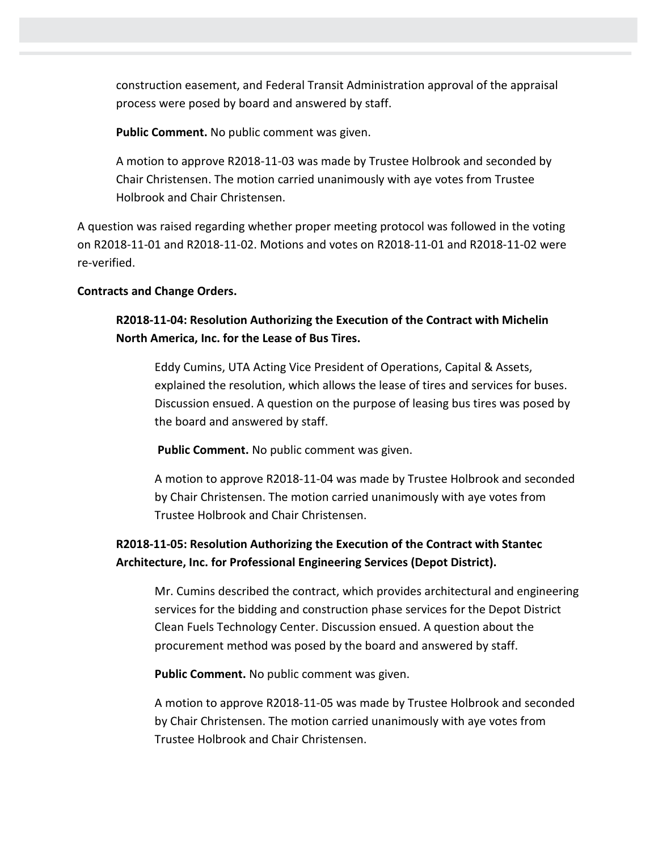construction easement, and Federal Transit Administration approval of the appraisal process were posed by board and answered by staff.

**Public Comment.** No public comment was given.

A motion to approve R2018-11-03 was made by Trustee Holbrook and seconded by Chair Christensen. The motion carried unanimously with aye votes from Trustee Holbrook and Chair Christensen.

A question was raised regarding whether proper meeting protocol was followed in the voting on R2018-11-01 and R2018-11-02. Motions and votes on R2018-11-01 and R2018-11-02 were re-verified.

#### **Contracts and Change Orders.**

# **R2018-11-04: Resolution Authorizing the Execution of the Contract with Michelin North America, Inc. for the Lease of Bus Tires.**

Eddy Cumins, UTA Acting Vice President of Operations, Capital & Assets, explained the resolution, which allows the lease of tires and services for buses. Discussion ensued. A question on the purpose of leasing bus tires was posed by the board and answered by staff.

**Public Comment.** No public comment was given.

A motion to approve R2018-11-04 was made by Trustee Holbrook and seconded by Chair Christensen. The motion carried unanimously with aye votes from Trustee Holbrook and Chair Christensen.

# **R2018-11-05: Resolution Authorizing the Execution of the Contract with Stantec Architecture, Inc. for Professional Engineering Services (Depot District).**

Mr. Cumins described the contract, which provides architectural and engineering services for the bidding and construction phase services for the Depot District Clean Fuels Technology Center. Discussion ensued. A question about the procurement method was posed by the board and answered by staff.

**Public Comment.** No public comment was given.

A motion to approve R2018-11-05 was made by Trustee Holbrook and seconded by Chair Christensen. The motion carried unanimously with aye votes from Trustee Holbrook and Chair Christensen.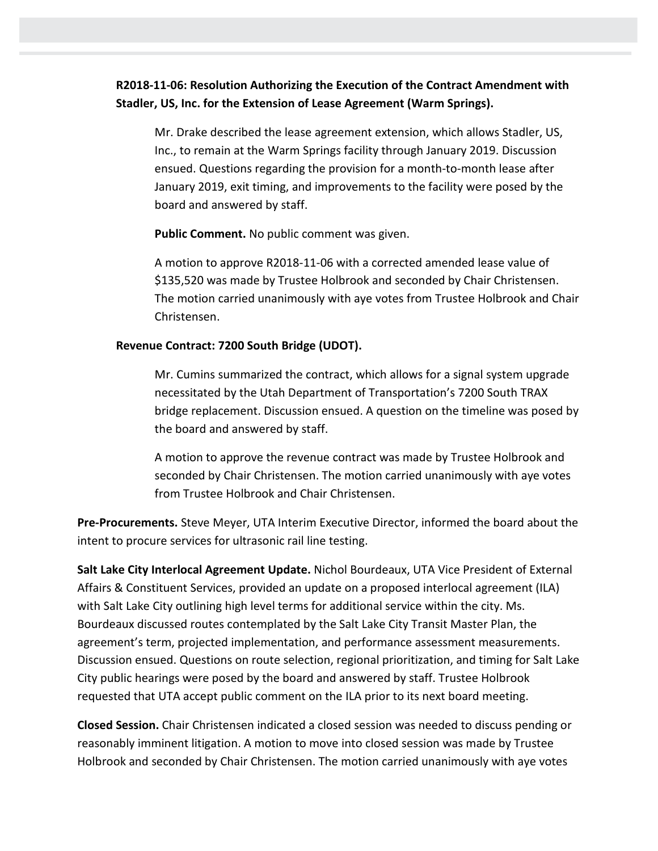# **R2018-11-06: Resolution Authorizing the Execution of the Contract Amendment with Stadler, US, Inc. for the Extension of Lease Agreement (Warm Springs).**

Mr. Drake described the lease agreement extension, which allows Stadler, US, Inc., to remain at the Warm Springs facility through January 2019. Discussion ensued. Questions regarding the provision for a month-to-month lease after January 2019, exit timing, and improvements to the facility were posed by the board and answered by staff.

**Public Comment.** No public comment was given.

A motion to approve R2018-11-06 with a corrected amended lease value of \$135,520 was made by Trustee Holbrook and seconded by Chair Christensen. The motion carried unanimously with aye votes from Trustee Holbrook and Chair Christensen.

### **Revenue Contract: 7200 South Bridge (UDOT).**

Mr. Cumins summarized the contract, which allows for a signal system upgrade necessitated by the Utah Department of Transportation's 7200 South TRAX bridge replacement. Discussion ensued. A question on the timeline was posed by the board and answered by staff.

A motion to approve the revenue contract was made by Trustee Holbrook and seconded by Chair Christensen. The motion carried unanimously with aye votes from Trustee Holbrook and Chair Christensen.

**Pre-Procurements.** Steve Meyer, UTA Interim Executive Director, informed the board about the intent to procure services for ultrasonic rail line testing.

**Salt Lake City Interlocal Agreement Update.** Nichol Bourdeaux, UTA Vice President of External Affairs & Constituent Services, provided an update on a proposed interlocal agreement (ILA) with Salt Lake City outlining high level terms for additional service within the city. Ms. Bourdeaux discussed routes contemplated by the Salt Lake City Transit Master Plan, the agreement's term, projected implementation, and performance assessment measurements. Discussion ensued. Questions on route selection, regional prioritization, and timing for Salt Lake City public hearings were posed by the board and answered by staff. Trustee Holbrook requested that UTA accept public comment on the ILA prior to its next board meeting.

**Closed Session.** Chair Christensen indicated a closed session was needed to discuss pending or reasonably imminent litigation. A motion to move into closed session was made by Trustee Holbrook and seconded by Chair Christensen. The motion carried unanimously with aye votes